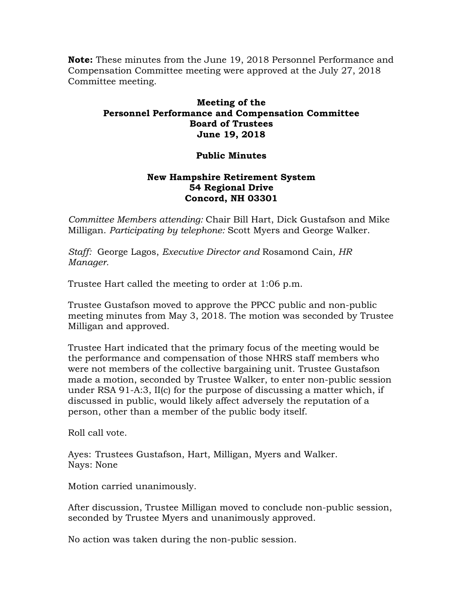**Note:** These minutes from the June 19, 2018 Personnel Performance and Compensation Committee meeting were approved at the July 27, 2018 Committee meeting.

## **Meeting of the Personnel Performance and Compensation Committee Board of Trustees June 19, 2018**

## **Public Minutes**

## **New Hampshire Retirement System 54 Regional Drive Concord, NH 03301**

*Committee Members attending:* Chair Bill Hart, Dick Gustafson and Mike Milligan. *Participating by telephone:* Scott Myers and George Walker.

*Staff:* George Lagos, *Executive Director and* Rosamond Cain*, HR Manager.* 

Trustee Hart called the meeting to order at 1:06 p.m.

Trustee Gustafson moved to approve the PPCC public and non-public meeting minutes from May 3, 2018. The motion was seconded by Trustee Milligan and approved.

Trustee Hart indicated that the primary focus of the meeting would be the performance and compensation of those NHRS staff members who were not members of the collective bargaining unit. Trustee Gustafson made a motion, seconded by Trustee Walker, to enter non-public session under RSA 91-A:3, II(c) for the purpose of discussing a matter which, if discussed in public, would likely affect adversely the reputation of a person, other than a member of the public body itself.

Roll call vote.

Ayes: Trustees Gustafson, Hart, Milligan, Myers and Walker. Nays: None

Motion carried unanimously.

After discussion, Trustee Milligan moved to conclude non-public session, seconded by Trustee Myers and unanimously approved.

No action was taken during the non-public session.